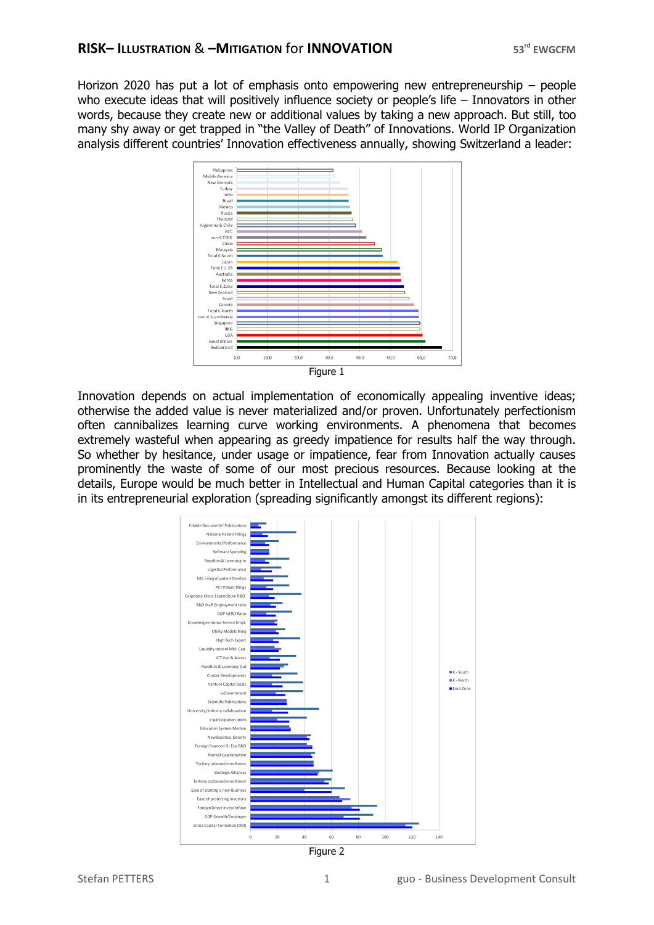Horizon 2020 has put a lot of emphasis onto empowering new entrepreneurship – people who execute ideas that will positively influence society or people's life – Innovators in other words, because they create new or additional values by taking a new approach. But still, too many shy away or get trapped in "the Valley of Death" of Innovations. World IP Organization analysis different countries' Innovation effectiveness annually, showing Switzerland a leader:



Innovation depends on actual implementation of economically appealing inventive ideas; otherwise the added value is never materialized and/or proven. Unfortunately perfectionism often cannibalizes learning curve working environments. A phenomena that becomes extremely wasteful when appearing as greedy impatience for results half the way through. So whether by hesitance, under usage or impatience, fear from Innovation actually causes prominently the waste of some of our most precious resources. Because looking at the details, Europe would be much better in Intellectual and Human Capital categories than it is in its entrepreneurial exploration (spreading significantly amongst its different regions):



Figure 2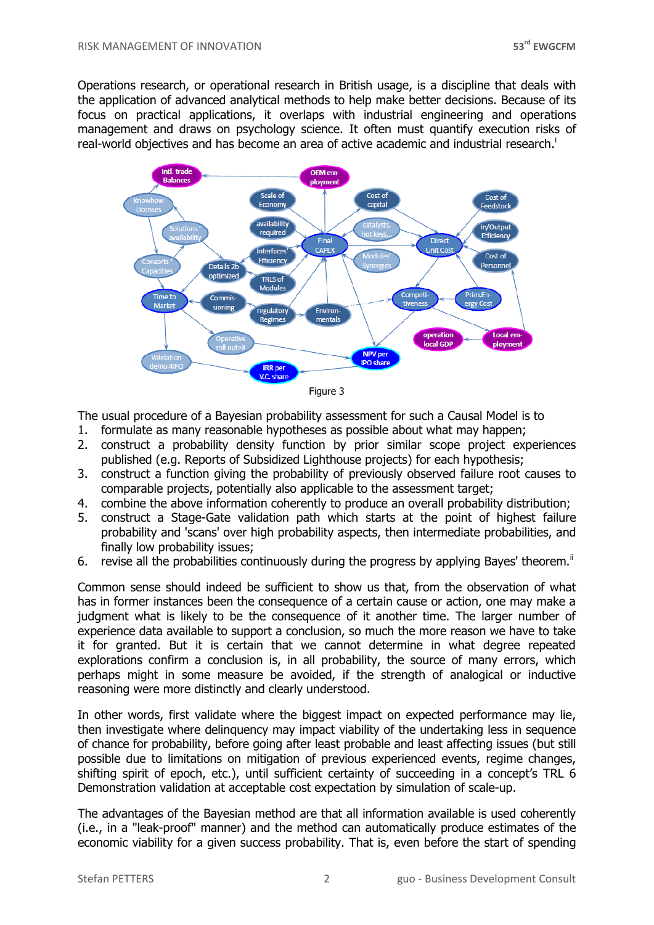Operations research, or operational research in British usage, is a discipline that deals with the application of advanced analytical methods to help make better decisions. Because of its focus on practical applications, it overlaps with industrial engineering and operations management and draws on psychology science. It often must quantify execution risks of real-world objectives and has become an area of active academic and industrial research. i



| ıcı ır |  |
|--------|--|
|--------|--|

The usual procedure of a Bayesian probability assessment for such a Causal Model is to

- 1. formulate as many reasonable hypotheses as possible about what may happen;
- 2. construct a probability density function by prior similar scope project experiences published (e.g. Reports of Subsidized Lighthouse projects) for each hypothesis;
- 3. construct a function giving the probability of previously observed failure root causes to comparable projects, potentially also applicable to the assessment target;
- 4. combine the above information coherently to produce an overall probability distribution;
- 5. construct a Stage-Gate validation path which starts at the point of highest failure probability and 'scans' over high probability aspects, then intermediate probabilities, and finally low probability issues;
- 6. revise all the probabilities continuously during the progress by applying Bayes' theorem.<sup> $\ddot{}}$ </sup>

Common sense should indeed be sufficient to show us that, from the observation of what has in former instances been the consequence of a certain cause or action, one may make a judgment what is likely to be the consequence of it another time. The larger number of experience data available to support a conclusion, so much the more reason we have to take it for granted. But it is certain that we cannot determine in what degree repeated explorations confirm a conclusion is, in all probability, the source of many errors, which perhaps might in some measure be avoided, if the strength of analogical or inductive reasoning were more distinctly and clearly understood.

In other words, first validate where the biggest impact on expected performance may lie, then investigate where delinquency may impact viability of the undertaking less in sequence of chance for probability, before going after least probable and least affecting issues (but still possible due to limitations on mitigation of previous experienced events, regime changes, shifting spirit of epoch, etc.), until sufficient certainty of succeeding in a concept's TRL 6 Demonstration validation at acceptable cost expectation by simulation of scale-up.

The advantages of the Bayesian method are that all information available is used coherently (i.e., in a "leak-proof" manner) and the method can automatically produce estimates of the economic viability for a given success probability. That is, even before the start of spending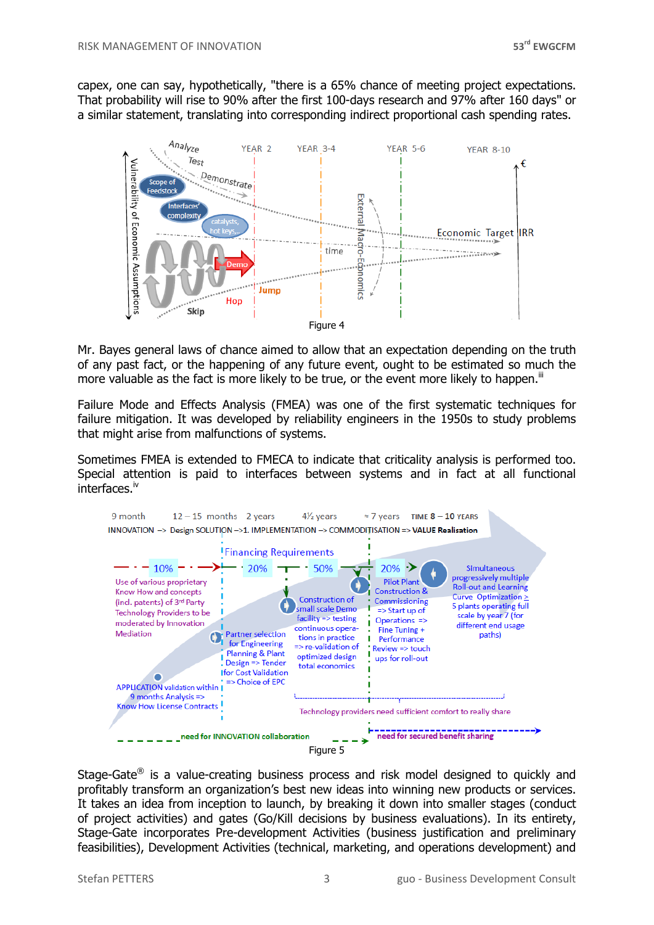capex, one can say, hypothetically, "there is a 65% chance of meeting project expectations. That probability will rise to 90% after the first 100-days research and 97% after 160 days" or a similar statement, translating into corresponding indirect proportional cash spending rates.



Mr. Bayes general laws of chance aimed to allow that an expectation depending on the truth of any past fact, or the happening of any future event, ought to be estimated so much the more valuable as the fact is more likely to be true, or the event more likely to happen. $\mathbb{I}$ 

Failure Mode and Effects Analysis (FMEA) was one of the first systematic techniques for failure mitigation. It was developed by reliability engineers in the 1950s to study problems that might arise from malfunctions of systems.

Sometimes FMEA is extended to FMECA to indicate that criticality analysis is performed too. Special attention is paid to interfaces between systems and in fact at all functional interfaces.iv



Stage-Gate $^{\circledR}$  is a value-creating business process and risk model designed to quickly and profitably transform an organization's best new ideas into winning new products or services. It takes an idea from inception to launch, by breaking it down into smaller stages (conduct of project activities) and gates (Go/Kill decisions by business evaluations). In its entirety, Stage-Gate incorporates Pre-development Activities (business justification and preliminary feasibilities), Development Activities (technical, marketing, and operations development) and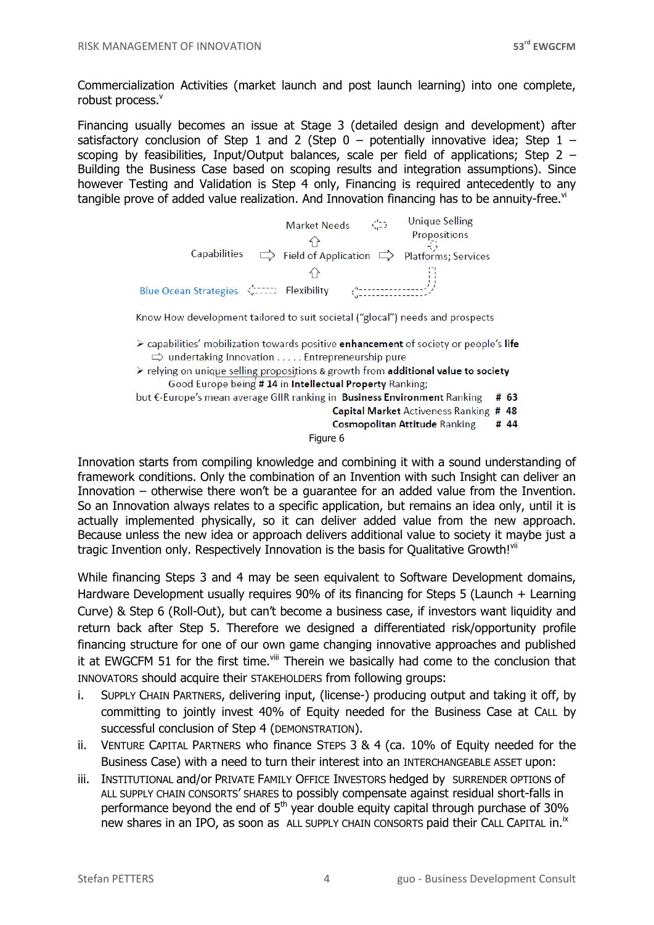Commercialization Activities (market launch and post launch learning) into one complete, robust process.<sup>v</sup>

Financing usually becomes an issue at Stage 3 (detailed design and development) after satisfactory conclusion of Step 1 and 2 (Step  $0$  – potentially innovative idea; Step 1 – scoping by feasibilities, Input/Output balances, scale per field of applications; Step 2 – Building the Business Case based on scoping results and integration assumptions). Since however Testing and Validation is Step 4 only, Financing is required antecedently to any tangible prove of added value realization. And Innovation financing has to be annuity-free. $v_i$ 



Know How development tailored to suit societal ("glocal") needs and prospects

- > capabilities' mobilization towards positive enhancement of society or people's life  $\Rightarrow$  undertaking Innovation ..... Entrepreneurship pure
- $\triangleright$  relying on unique selling propositions & growth from **additional value to society** Good Europe being # 14 in Intellectual Property Ranking;

but €-Europe's mean average GIIR ranking in Business Environment Ranking # 63

**Capital Market Activeness Ranking # 48** 

**Cosmopolitan Attitude Ranking** # 44

Figure 6

Innovation starts from compiling knowledge and combining it with a sound understanding of framework conditions. Only the combination of an Invention with such Insight can deliver an Innovation – otherwise there won't be a guarantee for an added value from the Invention. So an Innovation always relates to a specific application, but remains an idea only, until it is actually implemented physically, so it can deliver added value from the new approach. Because unless the new idea or approach delivers additional value to society it maybe just a tragic Invention only. Respectively Innovation is the basis for Qualitative Growth!<sup>vii</sup>

While financing Steps 3 and 4 may be seen equivalent to Software Development domains, Hardware Development usually requires 90% of its financing for Steps 5 (Launch + Learning Curve) & Step 6 (Roll-Out), but can't become a business case, if investors want liquidity and return back after Step 5. Therefore we designed a differentiated risk/opportunity profile financing structure for one of our own game changing innovative approaches and published it at EWGCFM 51 for the first time. $\frac{v}{u}$  Therein we basically had come to the conclusion that INNOVATORS should acquire their STAKEHOLDERS from following groups:

- i. SUPPLY CHAIN PARTNERS, delivering input, (license-) producing output and taking it off, by committing to jointly invest 40% of Equity needed for the Business Case at CALL by successful conclusion of Step 4 (DEMONSTRATION).
- ii. VENTURE CAPITAL PARTNERS who finance STEPS 3 & 4 (ca. 10% of Equity needed for the Business Case) with a need to turn their interest into an INTERCHANGEABLE ASSET upon:
- iii. INSTITUTIONAL and/or PRIVATE FAMILY OFFICE INVESTORS hedged by SURRENDER OPTIONS of ALL SUPPLY CHAIN CONSORTS' SHARES to possibly compensate against residual short-falls in performance beyond the end of  $5<sup>th</sup>$  year double equity capital through purchase of 30% new shares in an IPO, as soon as ALL SUPPLY CHAIN CONSORTS paid their CALL CAPITAL in.<sup>ix</sup>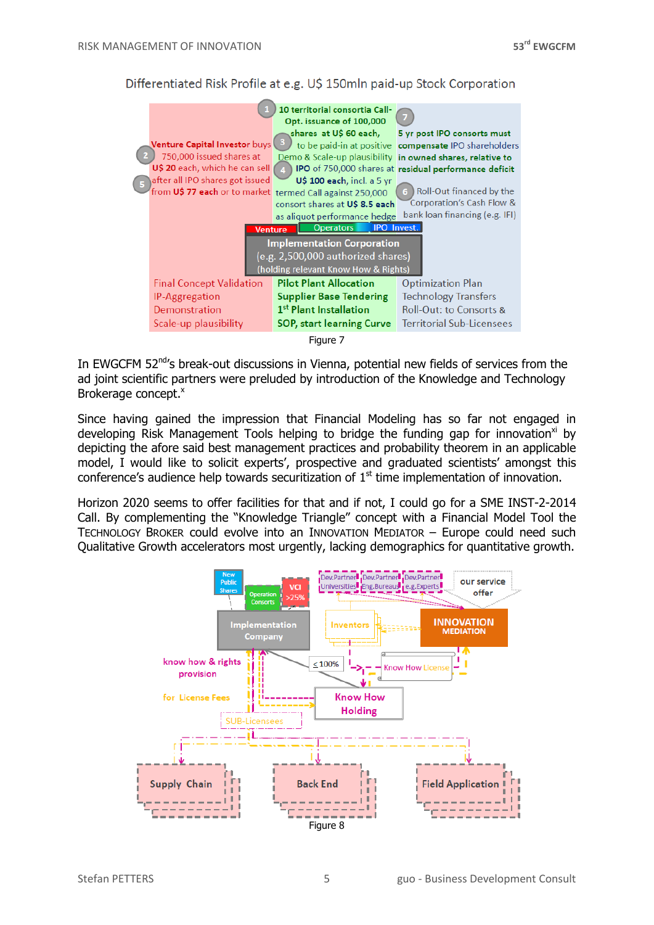

Differentiated Risk Profile at e.g. US 150mln paid-up Stock Corporation

Figure 7

In EWGCFM 52<sup>nd</sup>'s break-out discussions in Vienna, potential new fields of services from the ad joint scientific partners were preluded by introduction of the Knowledge and Technology Brokerage concept.<sup>x</sup>

Since having gained the impression that Financial Modeling has so far not engaged in developing Risk Management Tools helping to bridge the funding gap for innovation<sup>xi</sup> by depicting the afore said best management practices and probability theorem in an applicable model, I would like to solicit experts', prospective and graduated scientists' amongst this conference's audience help towards securitization of  $1<sup>st</sup>$  time implementation of innovation.

Horizon 2020 seems to offer facilities for that and if not, I could go for a SME INST-2-2014 Call. By complementing the "Knowledge Triangle" concept with a Financial Model Tool the TECHNOLOGY BROKER could evolve into an INNOVATION MEDIATOR – Europe could need such Qualitative Growth accelerators most urgently, lacking demographics for quantitative growth.